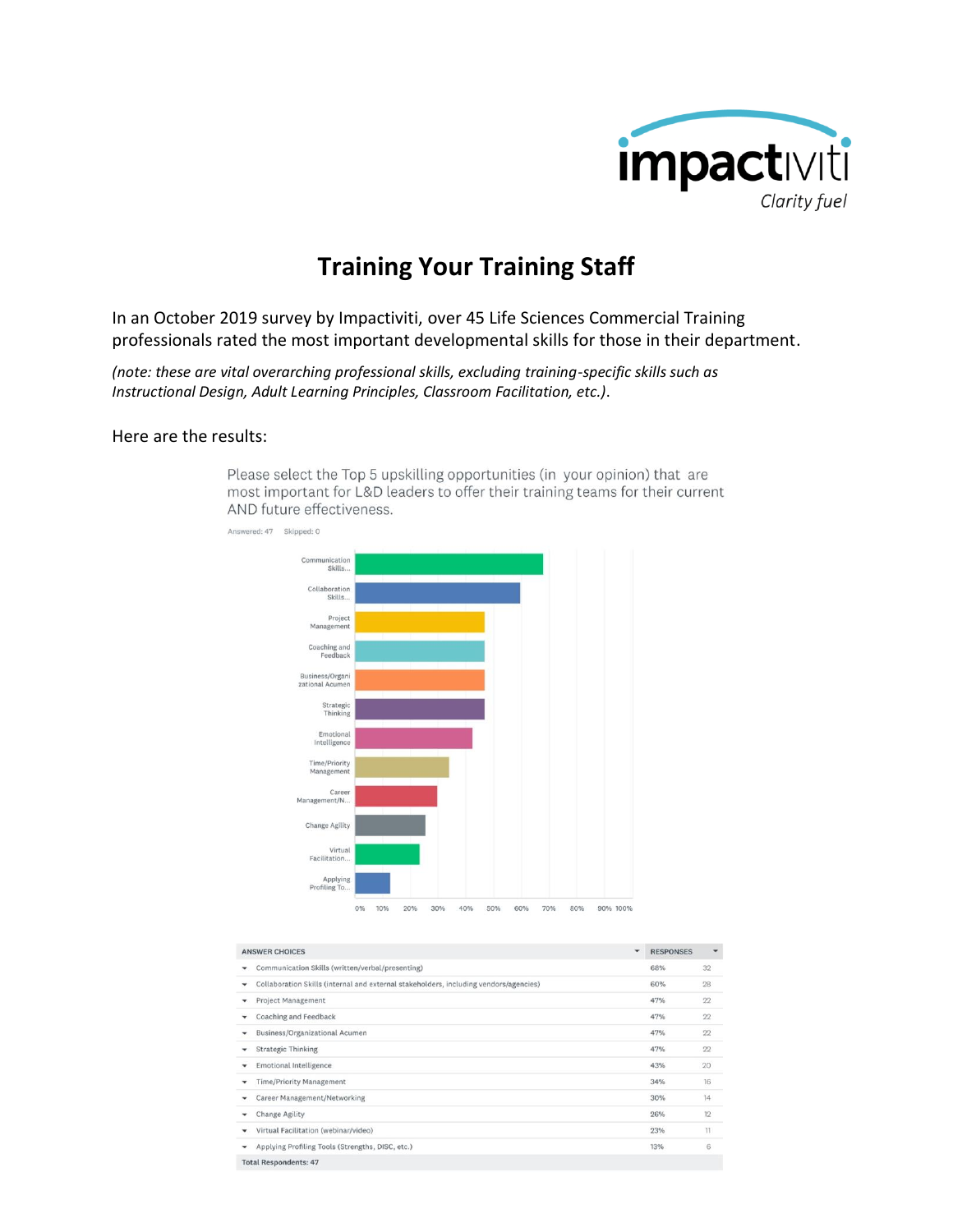

## **Training Your Training Staff**

In an October 2019 survey by Impactiviti, over 45 Life Sciences Commercial Training professionals rated the most important developmental skills for those in their department.

*(note: these are vital overarching professional skills, excluding training-specific skills such as Instructional Design, Adult Learning Principles, Classroom Facilitation, etc.)*.

## Here are the results:



Please select the Top 5 upskilling opportunities (in your opinion) that are most important for L&D leaders to offer their training teams for their current AND future effectiveness.

|                                                                                            | $\checkmark$ |                  | ٠               |
|--------------------------------------------------------------------------------------------|--------------|------------------|-----------------|
| <b>ANSWER CHOICES</b>                                                                      |              | <b>RESPONSES</b> |                 |
| Communication Skills (written/verbal/presenting)<br>٠                                      |              | 68%              | 32              |
| Collaboration Skills (internal and external stakeholders, including vendors/agencies)<br>٠ |              | 60%              | 28              |
| <b>Project Management</b><br>٠                                                             |              | 47%              | 22              |
| Coaching and Feedback<br>٠                                                                 |              | 47%              | 22              |
| Business/Organizational Acumen<br>٠                                                        |              | 47%              | 22              |
| <b>Strategic Thinking</b><br>٠                                                             |              | 47%              | 22              |
| <b>Emotional Intelligence</b><br>٠                                                         |              | 43%              | 20              |
| <b>Time/Priority Management</b><br>٠                                                       |              | 34%              | 16              |
| Career Management/Networking<br>٠                                                          |              | 30%              | 14              |
| Change Agility<br>٠                                                                        |              | 26%              | 12              |
| Virtual Facilitation (webinar/video)<br>٠                                                  |              | 23%              | $\overline{11}$ |
| Applying Profiling Tools (Strengths, DISC, etc.)<br>٠                                      |              | 13%              | 6               |

**Total Respondents: 47**